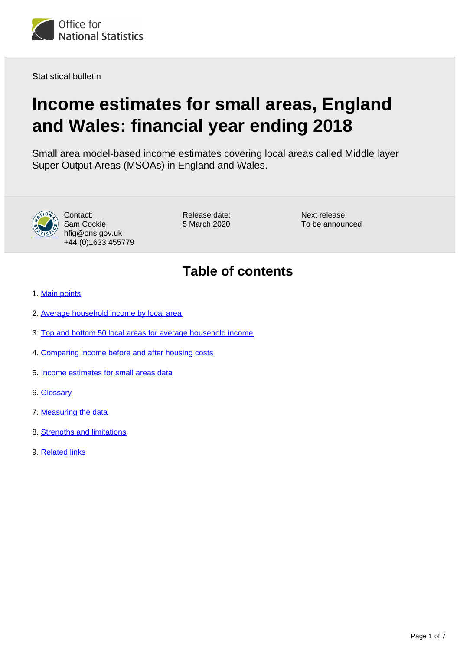

Statistical bulletin

# **Income estimates for small areas, England and Wales: financial year ending 2018**

Small area model-based income estimates covering local areas called Middle layer Super Output Areas (MSOAs) in England and Wales.



Contact: Sam Cockle hfig@ons.gov.uk +44 (0)1633 455779 Release date: 5 March 2020

Next release: To be announced

# **Table of contents**

- 1. [Main points](#page-1-0)
- 2. [Average household income by local area](#page-1-1)
- 3. [Top and bottom 50 local areas for average household income](#page-2-0)
- 4. [Comparing income before and after housing costs](#page-2-1)
- 5. [Income estimates for small areas data](#page-4-0)
- 6. [Glossary](#page-4-1)
- 7. [Measuring the data](#page-4-2)
- 8. [Strengths and limitations](#page-5-0)
- 9. [Related links](#page-6-0)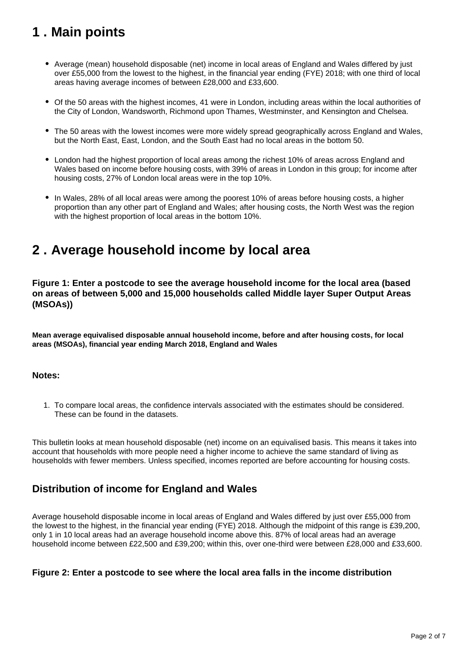# <span id="page-1-0"></span>**1 . Main points**

- Average (mean) household disposable (net) income in local areas of England and Wales differed by just over £55,000 from the lowest to the highest, in the financial year ending (FYE) 2018; with one third of local areas having average incomes of between £28,000 and £33,600.
- Of the 50 areas with the highest incomes, 41 were in London, including areas within the local authorities of the City of London, Wandsworth, Richmond upon Thames, Westminster, and Kensington and Chelsea.
- The 50 areas with the lowest incomes were more widely spread geographically across England and Wales, but the North East, East, London, and the South East had no local areas in the bottom 50.
- London had the highest proportion of local areas among the richest 10% of areas across England and Wales based on income before housing costs, with 39% of areas in London in this group; for income after housing costs, 27% of London local areas were in the top 10%.
- In Wales, 28% of all local areas were among the poorest 10% of areas before housing costs, a higher proportion than any other part of England and Wales; after housing costs, the North West was the region with the highest proportion of local areas in the bottom 10%.

### <span id="page-1-1"></span>**2 . Average household income by local area**

**Figure 1: Enter a postcode to see the average household income for the local area (based on areas of between 5,000 and 15,000 households called Middle layer Super Output Areas (MSOAs))**

**Mean average equivalised disposable annual household income, before and after housing costs, for local areas (MSOAs), financial year ending March 2018, England and Wales**

#### **Notes:**

1. To compare local areas, the confidence intervals associated with the estimates should be considered. These can be found in the datasets.

This bulletin looks at mean household disposable (net) income on an equivalised basis. This means it takes into account that households with more people need a higher income to achieve the same standard of living as households with fewer members. Unless specified, incomes reported are before accounting for housing costs.

### **Distribution of income for England and Wales**

Average household disposable income in local areas of England and Wales differed by just over £55,000 from the lowest to the highest, in the financial year ending (FYE) 2018. Although the midpoint of this range is £39,200, only 1 in 10 local areas had an average household income above this. 87% of local areas had an average household income between £22,500 and £39,200; within this, over one-third were between £28,000 and £33,600.

#### **Figure 2: Enter a postcode to see where the local area falls in the income distribution**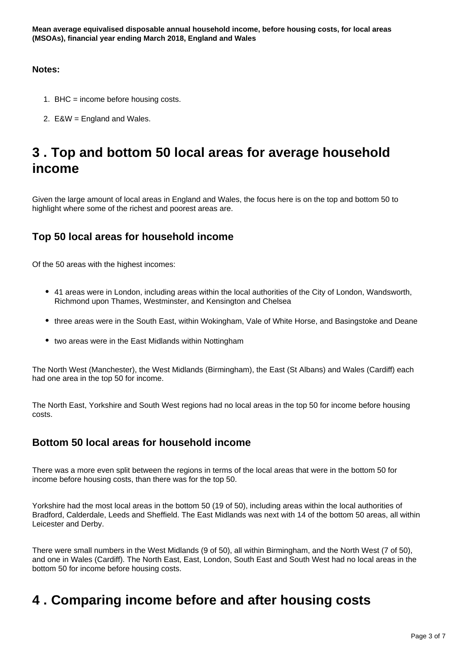#### **Notes:**

- 1. BHC = income before housing costs.
- 2. E&W = England and Wales.

# <span id="page-2-0"></span>**3 . Top and bottom 50 local areas for average household income**

Given the large amount of local areas in England and Wales, the focus here is on the top and bottom 50 to highlight where some of the richest and poorest areas are.

### **Top 50 local areas for household income**

Of the 50 areas with the highest incomes:

- 41 areas were in London, including areas within the local authorities of the City of London, Wandsworth, Richmond upon Thames, Westminster, and Kensington and Chelsea
- three areas were in the South East, within Wokingham, Vale of White Horse, and Basingstoke and Deane
- two areas were in the East Midlands within Nottingham

The North West (Manchester), the West Midlands (Birmingham), the East (St Albans) and Wales (Cardiff) each had one area in the top 50 for income.

The North East, Yorkshire and South West regions had no local areas in the top 50 for income before housing costs.

### **Bottom 50 local areas for household income**

There was a more even split between the regions in terms of the local areas that were in the bottom 50 for income before housing costs, than there was for the top 50.

Yorkshire had the most local areas in the bottom 50 (19 of 50), including areas within the local authorities of Bradford, Calderdale, Leeds and Sheffield. The East Midlands was next with 14 of the bottom 50 areas, all within Leicester and Derby.

There were small numbers in the West Midlands (9 of 50), all within Birmingham, and the North West (7 of 50), and one in Wales (Cardiff). The North East, East, London, South East and South West had no local areas in the bottom 50 for income before housing costs.

# <span id="page-2-1"></span>**4 . Comparing income before and after housing costs**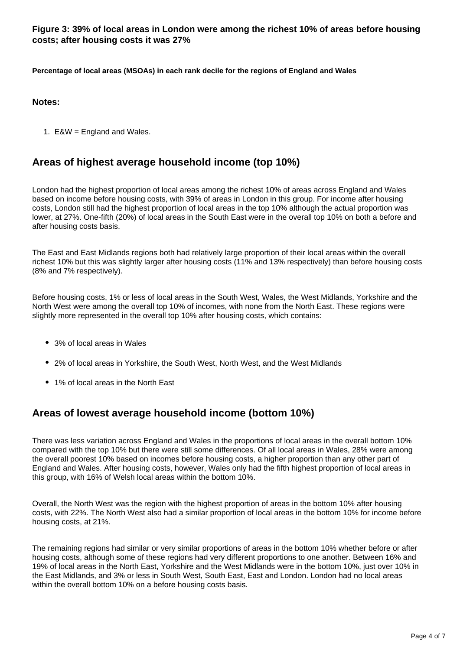**Figure 3: 39% of local areas in London were among the richest 10% of areas before housing costs; after housing costs it was 27%**

**Percentage of local areas (MSOAs) in each rank decile for the regions of England and Wales**

#### **Notes:**

1. E&W = England and Wales.

#### **Areas of highest average household income (top 10%)**

London had the highest proportion of local areas among the richest 10% of areas across England and Wales based on income before housing costs, with 39% of areas in London in this group. For income after housing costs, London still had the highest proportion of local areas in the top 10% although the actual proportion was lower, at 27%. One-fifth (20%) of local areas in the South East were in the overall top 10% on both a before and after housing costs basis.

The East and East Midlands regions both had relatively large proportion of their local areas within the overall richest 10% but this was slightly larger after housing costs (11% and 13% respectively) than before housing costs (8% and 7% respectively).

Before housing costs, 1% or less of local areas in the South West, Wales, the West Midlands, Yorkshire and the North West were among the overall top 10% of incomes, with none from the North East. These regions were slightly more represented in the overall top 10% after housing costs, which contains:

- 3% of local areas in Wales
- 2% of local areas in Yorkshire, the South West, North West, and the West Midlands
- 1% of local areas in the North East

### **Areas of lowest average household income (bottom 10%)**

There was less variation across England and Wales in the proportions of local areas in the overall bottom 10% compared with the top 10% but there were still some differences. Of all local areas in Wales, 28% were among the overall poorest 10% based on incomes before housing costs, a higher proportion than any other part of England and Wales. After housing costs, however, Wales only had the fifth highest proportion of local areas in this group, with 16% of Welsh local areas within the bottom 10%.

Overall, the North West was the region with the highest proportion of areas in the bottom 10% after housing costs, with 22%. The North West also had a similar proportion of local areas in the bottom 10% for income before housing costs, at 21%.

The remaining regions had similar or very similar proportions of areas in the bottom 10% whether before or after housing costs, although some of these regions had very different proportions to one another. Between 16% and 19% of local areas in the North East, Yorkshire and the West Midlands were in the bottom 10%, just over 10% in the East Midlands, and 3% or less in South West, South East, East and London. London had no local areas within the overall bottom 10% on a before housing costs basis.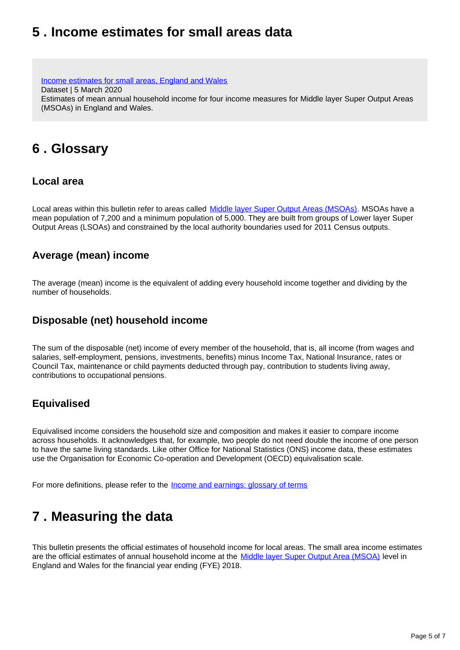### <span id="page-4-0"></span>**5 . Income estimates for small areas data**

[Income estimates for small areas, England and Wales](https://www.ons.gov.uk/employmentandlabourmarket/peopleinwork/earningsandworkinghours/datasets/smallareaincomeestimatesformiddlelayersuperoutputareasenglandandwales) Dataset | 5 March 2020 Estimates of mean annual household income for four income measures for Middle layer Super Output Areas (MSOAs) in England and Wales.

# <span id="page-4-1"></span>**6 . Glossary**

#### **Local area**

Local areas within this bulletin refer to areas called [Middle layer Super Output Areas \(MSOAs\).](https://www.ons.gov.uk/methodology/geography/ukgeographies/censusgeography) MSOAs have a mean population of 7,200 and a minimum population of 5,000. They are built from groups of Lower layer Super Output Areas (LSOAs) and constrained by the local authority boundaries used for 2011 Census outputs.

#### **Average (mean) income**

The average (mean) income is the equivalent of adding every household income together and dividing by the number of households.

### **Disposable (net) household income**

The sum of the disposable (net) income of every member of the household, that is, all income (from wages and salaries, self-employment, pensions, investments, benefits) minus Income Tax, National Insurance, rates or Council Tax, maintenance or child payments deducted through pay, contribution to students living away, contributions to occupational pensions.

### **Equivalised**

Equivalised income considers the household size and composition and makes it easier to compare income across households. It acknowledges that, for example, two people do not need double the income of one person to have the same living standards. Like other Office for National Statistics (ONS) income data, these estimates use the Organisation for Economic Co-operation and Development (OECD) equivalisation scale.

For more definitions, please refer to the **[Income and earnings: glossary of terms](https://www.ons.gov.uk/employmentandlabourmarket/peopleinwork/earningsandworkinghours/methodologies/incomeandearningsglossaryofterms)** 

# <span id="page-4-2"></span>**7 . Measuring the data**

This bulletin presents the official estimates of household income for local areas. The small area income estimates are the official estimates of annual household income at the [Middle layer Super Output Area \(MSOA\)](https://www.ons.gov.uk/methodology/geography/ukgeographies/censusgeography) level in England and Wales for the financial year ending (FYE) 2018.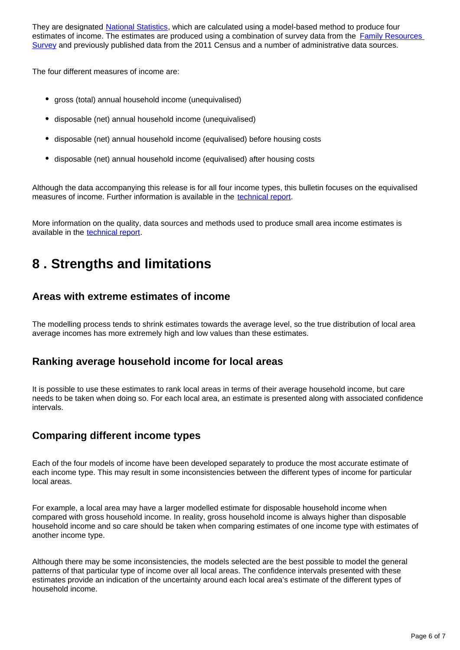They are designated [National Statistics](https://www.statisticsauthority.gov.uk/about-the-authority/uk-statistical-system/types-of-official-statistics/), which are calculated using a model-based method to produce four estimates of income. The estimates are produced using a combination of survey data from the **Family Resources** [Survey](https://www.gov.uk/government/collections/family-resources-survey--2) and previously published data from the 2011 Census and a number of administrative data sources.

The four different measures of income are:

- gross (total) annual household income (unequivalised)
- disposable (net) annual household income (unequivalised)
- disposable (net) annual household income (equivalised) before housing costs
- disposable (net) annual household income (equivalised) after housing costs

Although the data accompanying this release is for all four income types, this bulletin focuses on the equivalised measures of income. Further information is available in the [technical report.](https://www.ons.gov.uk/peoplepopulationandcommunity/personalandhouseholdfinances/incomeandwealth/methodologies/incomeestimatesforsmallareasinenglandandwalestechnicalreportfinancialyearending2018)

More information on the quality, data sources and methods used to produce small area income estimates is available in the [technical report](https://www.ons.gov.uk/peoplepopulationandcommunity/personalandhouseholdfinances/incomeandwealth/methodologies/incomeestimatesforsmallareasinenglandandwalestechnicalreportfinancialyearending2018).

### <span id="page-5-0"></span>**8 . Strengths and limitations**

### **Areas with extreme estimates of income**

The modelling process tends to shrink estimates towards the average level, so the true distribution of local area average incomes has more extremely high and low values than these estimates.

#### **Ranking average household income for local areas**

It is possible to use these estimates to rank local areas in terms of their average household income, but care needs to be taken when doing so. For each local area, an estimate is presented along with associated confidence intervals.

### **Comparing different income types**

Each of the four models of income have been developed separately to produce the most accurate estimate of each income type. This may result in some inconsistencies between the different types of income for particular local areas.

For example, a local area may have a larger modelled estimate for disposable household income when compared with gross household income. In reality, gross household income is always higher than disposable household income and so care should be taken when comparing estimates of one income type with estimates of another income type.

Although there may be some inconsistencies, the models selected are the best possible to model the general patterns of that particular type of income over all local areas. The confidence intervals presented with these estimates provide an indication of the uncertainty around each local area's estimate of the different types of household income.